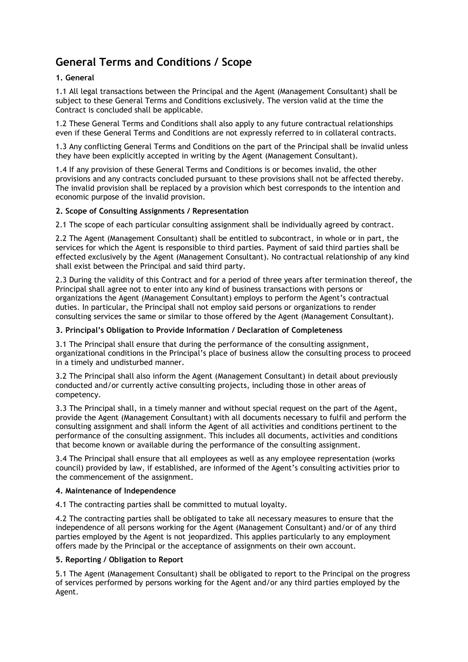# **General Terms and Conditions / Scope**

# **1. General**

1.1 All legal transactions between the Principal and the Agent (Management Consultant) shall be subject to these General Terms and Conditions exclusively. The version valid at the time the Contract is concluded shall be applicable.

1.2 These General Terms and Conditions shall also apply to any future contractual relationships even if these General Terms and Conditions are not expressly referred to in collateral contracts.

1.3 Any conflicting General Terms and Conditions on the part of the Principal shall be invalid unless they have been explicitly accepted in writing by the Agent (Management Consultant).

1.4 If any provision of these General Terms and Conditions is or becomes invalid, the other provisions and any contracts concluded pursuant to these provisions shall not be affected thereby. The invalid provision shall be replaced by a provision which best corresponds to the intention and economic purpose of the invalid provision.

## **2. Scope of Consulting Assignments / Representation**

2.1 The scope of each particular consulting assignment shall be individually agreed by contract.

2.2 The Agent (Management Consultant) shall be entitled to subcontract, in whole or in part, the services for which the Agent is responsible to third parties. Payment of said third parties shall be effected exclusively by the Agent (Management Consultant). No contractual relationship of any kind shall exist between the Principal and said third party.

2.3 During the validity of this Contract and for a period of three years after termination thereof, the Principal shall agree not to enter into any kind of business transactions with persons or organizations the Agent (Management Consultant) employs to perform the Agent's contractual duties. In particular, the Principal shall not employ said persons or organizations to render consulting services the same or similar to those offered by the Agent (Management Consultant).

#### **3. Principal's Obligation to Provide Information / Declaration of Completeness**

3.1 The Principal shall ensure that during the performance of the consulting assignment, organizational conditions in the Principal's place of business allow the consulting process to proceed in a timely and undisturbed manner.

3.2 The Principal shall also inform the Agent (Management Consultant) in detail about previously conducted and/or currently active consulting projects, including those in other areas of competency.

3.3 The Principal shall, in a timely manner and without special request on the part of the Agent, provide the Agent (Management Consultant) with all documents necessary to fulfil and perform the consulting assignment and shall inform the Agent of all activities and conditions pertinent to the performance of the consulting assignment. This includes all documents, activities and conditions that become known or available during the performance of the consulting assignment.

3.4 The Principal shall ensure that all employees as well as any employee representation (works council) provided by law, if established, are informed of the Agent's consulting activities prior to the commencement of the assignment.

## **4. Maintenance of Independence**

4.1 The contracting parties shall be committed to mutual loyalty.

4.2 The contracting parties shall be obligated to take all necessary measures to ensure that the independence of all persons working for the Agent (Management Consultant) and/or of any third parties employed by the Agent is not jeopardized. This applies particularly to any employment offers made by the Principal or the acceptance of assignments on their own account.

## **5. Reporting / Obligation to Report**

5.1 The Agent (Management Consultant) shall be obligated to report to the Principal on the progress of services performed by persons working for the Agent and/or any third parties employed by the Agent.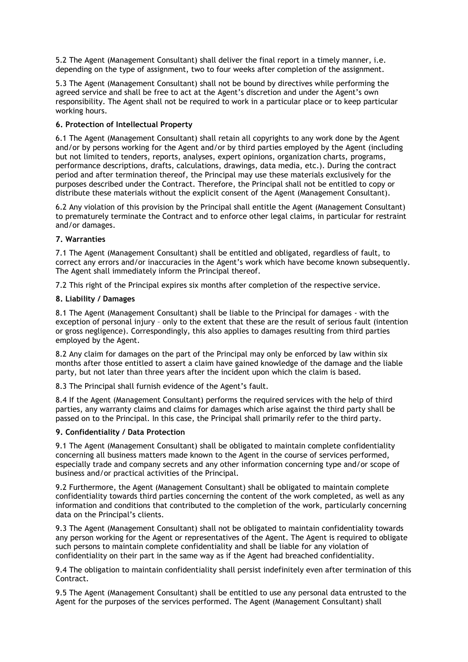5.2 The Agent (Management Consultant) shall deliver the final report in a timely manner, i.e. depending on the type of assignment, two to four weeks after completion of the assignment.

5.3 The Agent (Management Consultant) shall not be bound by directives while performing the agreed service and shall be free to act at the Agent's discretion and under the Agent's own responsibility. The Agent shall not be required to work in a particular place or to keep particular working hours.

## **6. Protection of Intellectual Property**

6.1 The Agent (Management Consultant) shall retain all copyrights to any work done by the Agent and/or by persons working for the Agent and/or by third parties employed by the Agent (including but not limited to tenders, reports, analyses, expert opinions, organization charts, programs, performance descriptions, drafts, calculations, drawings, data media, etc.). During the contract period and after termination thereof, the Principal may use these materials exclusively for the purposes described under the Contract. Therefore, the Principal shall not be entitled to copy or distribute these materials without the explicit consent of the Agent (Management Consultant).

6.2 Any violation of this provision by the Principal shall entitle the Agent (Management Consultant) to prematurely terminate the Contract and to enforce other legal claims, in particular for restraint and/or damages.

#### **7. Warranties**

7.1 The Agent (Management Consultant) shall be entitled and obligated, regardless of fault, to correct any errors and/or inaccuracies in the Agent's work which have become known subsequently. The Agent shall immediately inform the Principal thereof.

7.2 This right of the Principal expires six months after completion of the respective service.

#### **8. Liability / Damages**

8.1 The Agent (Management Consultant) shall be liable to the Principal for damages - with the exception of personal injury – only to the extent that these are the result of serious fault (intention or gross negligence). Correspondingly, this also applies to damages resulting from third parties employed by the Agent.

8.2 Any claim for damages on the part of the Principal may only be enforced by law within six months after those entitled to assert a claim have gained knowledge of the damage and the liable party, but not later than three years after the incident upon which the claim is based.

8.3 The Principal shall furnish evidence of the Agent's fault.

8.4 If the Agent (Management Consultant) performs the required services with the help of third parties, any warranty claims and claims for damages which arise against the third party shall be passed on to the Principal. In this case, the Principal shall primarily refer to the third party.

#### **9. Confidentiality / Data Protection**

9.1 The Agent (Management Consultant) shall be obligated to maintain complete confidentiality concerning all business matters made known to the Agent in the course of services performed, especially trade and company secrets and any other information concerning type and/or scope of business and/or practical activities of the Principal.

9.2 Furthermore, the Agent (Management Consultant) shall be obligated to maintain complete confidentiality towards third parties concerning the content of the work completed, as well as any information and conditions that contributed to the completion of the work, particularly concerning data on the Principal's clients.

9.3 The Agent (Management Consultant) shall not be obligated to maintain confidentiality towards any person working for the Agent or representatives of the Agent. The Agent is required to obligate such persons to maintain complete confidentiality and shall be liable for any violation of confidentiality on their part in the same way as if the Agent had breached confidentiality.

9.4 The obligation to maintain confidentiality shall persist indefinitely even after termination of this Contract.

9.5 The Agent (Management Consultant) shall be entitled to use any personal data entrusted to the Agent for the purposes of the services performed. The Agent (Management Consultant) shall